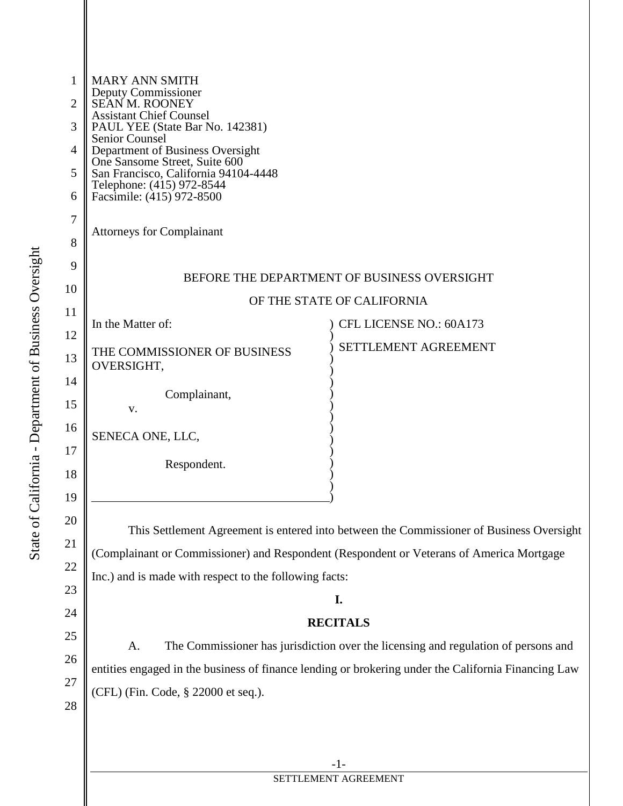| 1<br>2<br>3<br>4<br>5<br>6<br>7<br>8                     | <b>MARY ANN SMITH</b><br>Deputy Commissioner<br><b>SEAN M. ROONEY</b><br><b>Assistant Chief Counsel</b><br>PAUL YEE (State Bar No. 142381)<br><b>Senior Counsel</b><br>Department of Business Oversight<br>One Sansome Street, Suite 600<br>San Francisco, California 94104-4448<br>Telephone: (415) 972-8544<br>Facsimile: (415) 972-8500<br><b>Attorneys for Complainant</b> |                                                                                                                                                                                                                                                                                                                                                                                                            |  |
|----------------------------------------------------------|--------------------------------------------------------------------------------------------------------------------------------------------------------------------------------------------------------------------------------------------------------------------------------------------------------------------------------------------------------------------------------|------------------------------------------------------------------------------------------------------------------------------------------------------------------------------------------------------------------------------------------------------------------------------------------------------------------------------------------------------------------------------------------------------------|--|
| 9<br>10                                                  | BEFORE THE DEPARTMENT OF BUSINESS OVERSIGHT                                                                                                                                                                                                                                                                                                                                    |                                                                                                                                                                                                                                                                                                                                                                                                            |  |
| 11                                                       | OF THE STATE OF CALIFORNIA                                                                                                                                                                                                                                                                                                                                                     |                                                                                                                                                                                                                                                                                                                                                                                                            |  |
| 12                                                       | In the Matter of:                                                                                                                                                                                                                                                                                                                                                              | CFL LICENSE NO.: 60A173                                                                                                                                                                                                                                                                                                                                                                                    |  |
| 13                                                       | THE COMMISSIONER OF BUSINESS<br>OVERSIGHT,                                                                                                                                                                                                                                                                                                                                     | SETTLEMENT AGREEMENT                                                                                                                                                                                                                                                                                                                                                                                       |  |
| 14<br>15                                                 | Complainant,<br>V.                                                                                                                                                                                                                                                                                                                                                             |                                                                                                                                                                                                                                                                                                                                                                                                            |  |
| 16<br>17                                                 | SENECA ONE, LLC,                                                                                                                                                                                                                                                                                                                                                               |                                                                                                                                                                                                                                                                                                                                                                                                            |  |
| 18                                                       | Respondent.                                                                                                                                                                                                                                                                                                                                                                    |                                                                                                                                                                                                                                                                                                                                                                                                            |  |
| 19<br>20<br>21<br>22<br>23<br>24<br>25<br>26<br>27<br>28 | Inc.) and is made with respect to the following facts:<br>A.<br>(CFL) (Fin. Code, § 22000 et seq.).                                                                                                                                                                                                                                                                            | This Settlement Agreement is entered into between the Commissioner of Business Oversight<br>(Complainant or Commissioner) and Respondent (Respondent or Veterans of America Mortgage<br>I.<br><b>RECITALS</b><br>The Commissioner has jurisdiction over the licensing and regulation of persons and<br>entities engaged in the business of finance lending or brokering under the California Financing Law |  |
|                                                          |                                                                                                                                                                                                                                                                                                                                                                                | $-1-$                                                                                                                                                                                                                                                                                                                                                                                                      |  |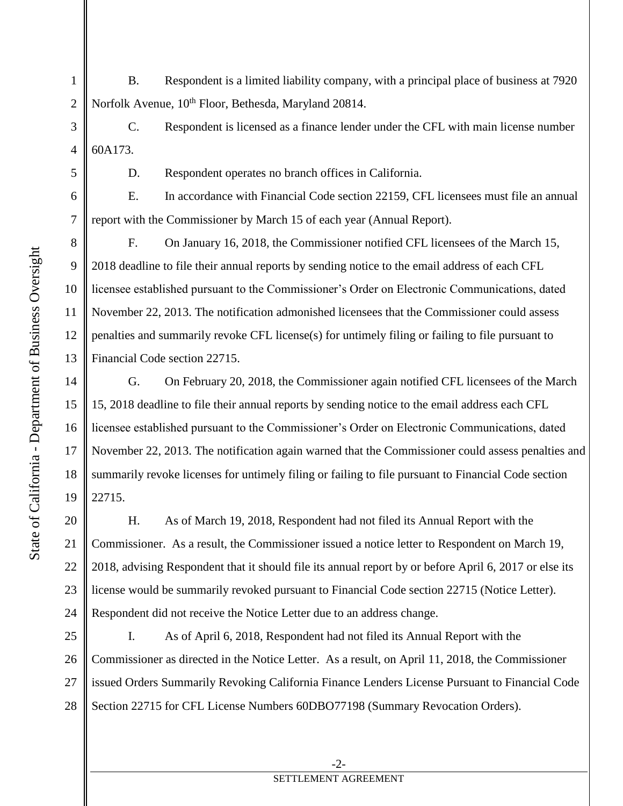- B. Respondent is a limited liability company, with a principal place of business at 7920 Norfolk Avenue,  $10^{th}$  Floor, Bethesda, Maryland 20814.
- 3 4 C. Respondent is licensed as a finance lender under the CFL with main license number 60A173.

D. Respondent operates no branch offices in California.

E. In accordance with Financial Code section 22159, CFL licensees must file an annual report with the Commissioner by March 15 of each year (Annual Report).

8 9 10 11 12 13 F. On January 16, 2018, the Commissioner notified CFL licensees of the March 15, 2018 deadline to file their annual reports by sending notice to the email address of each CFL licensee established pursuant to the Commissioner's Order on Electronic Communications, dated November 22, 2013. The notification admonished licensees that the Commissioner could assess penalties and summarily revoke CFL license(s) for untimely filing or failing to file pursuant to Financial Code section 22715.

14 16 G. On February 20, 2018, the Commissioner again notified CFL licensees of the March 15, 2018 deadline to file their annual reports by sending notice to the email address each CFL licensee established pursuant to the Commissioner's Order on Electronic Communications, dated November 22, 2013. The notification again warned that the Commissioner could assess penalties and summarily revoke licenses for untimely filing or failing to file pursuant to Financial Code section 22715.

20 21 22 23 24 H. As of March 19, 2018, Respondent had not filed its Annual Report with the Commissioner. As a result, the Commissioner issued a notice letter to Respondent on March 19, 2018, advising Respondent that it should file its annual report by or before April 6, 2017 or else its license would be summarily revoked pursuant to Financial Code section 22715 (Notice Letter). Respondent did not receive the Notice Letter due to an address change.

25 26 27 28 I. As of April 6, 2018, Respondent had not filed its Annual Report with the Commissioner as directed in the Notice Letter. As a result, on April 11, 2018, the Commissioner issued Orders Summarily Revoking California Finance Lenders License Pursuant to Financial Code Section 22715 for CFL License Numbers 60DBO77198 (Summary Revocation Orders).

15

17

18

19

1

2

5

6

7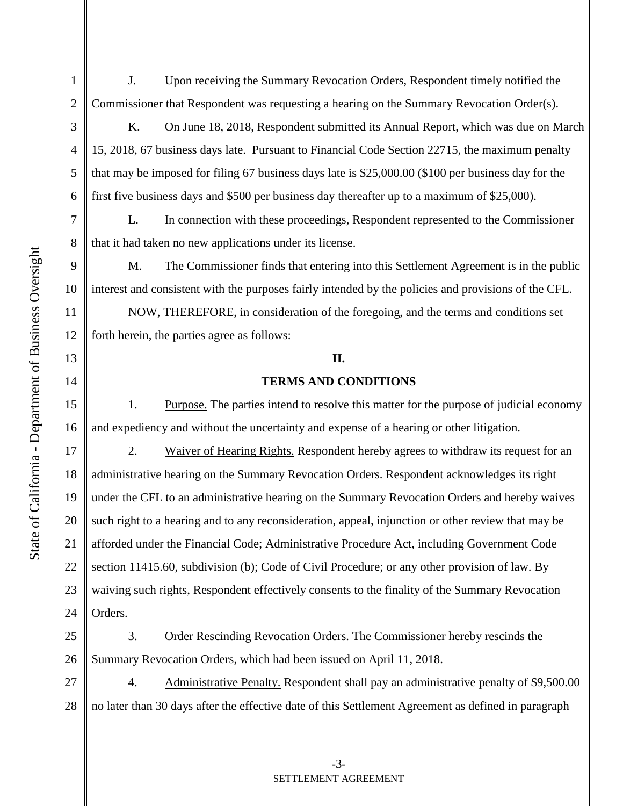J. Upon receiving the Summary Revocation Orders, Respondent timely notified the Commissioner that Respondent was requesting a hearing on the Summary Revocation Order(s).

K. On June 18, 2018, Respondent submitted its Annual Report, which was due on March 15, 2018, 67 business days late. Pursuant to Financial Code Section 22715, the maximum penalty that may be imposed for filing 67 business days late is \$25,000.00 (\$100 per business day for the first five business days and \$500 per business day thereafter up to a maximum of \$25,000).

L. In connection with these proceedings, Respondent represented to the Commissioner that it had taken no new applications under its license.

9 10 M. The Commissioner finds that entering into this Settlement Agreement is in the public interest and consistent with the purposes fairly intended by the policies and provisions of the CFL.

 NOW, THEREFORE, in consideration of the foregoing, and the terms and conditions set forth herein, the parties agree as follows:

## **II.**

## **TERMS AND CONDITIONS**

 1. Purpose. The parties intend to resolve this matter for the purpose of judicial economy and expediency and without the uncertainty and expense of a hearing or other litigation.

 2. Waiver of Hearing Rights. Respondent hereby agrees to withdraw its request for an administrative hearing on the Summary Revocation Orders. Respondent acknowledges its right under the CFL to an administrative hearing on the Summary Revocation Orders and hereby waives such right to a hearing and to any reconsideration, appeal, injunction or other review that may be afforded under the Financial Code; Administrative Procedure Act, including Government Code section 11415.60, subdivision (b); Code of Civil Procedure; or any other provision of law. By waiving such rights, Respondent effectively consents to the finality of the Summary Revocation Orders.

25 26 3. Order Rescinding Revocation Orders. The Commissioner hereby rescinds the Summary Revocation Orders, which had been issued on April 11, 2018.

27 28 4. Administrative Penalty. Respondent shall pay an administrative penalty of \$9,500.00 no later than 30 days after the effective date of this Settlement Agreement as defined in paragraph

1

2

3

4

5

6

7

8

11

12

13

14

15

16

17

18

19

20

21

22

23

24

## SETTLEMENT AGREEMENT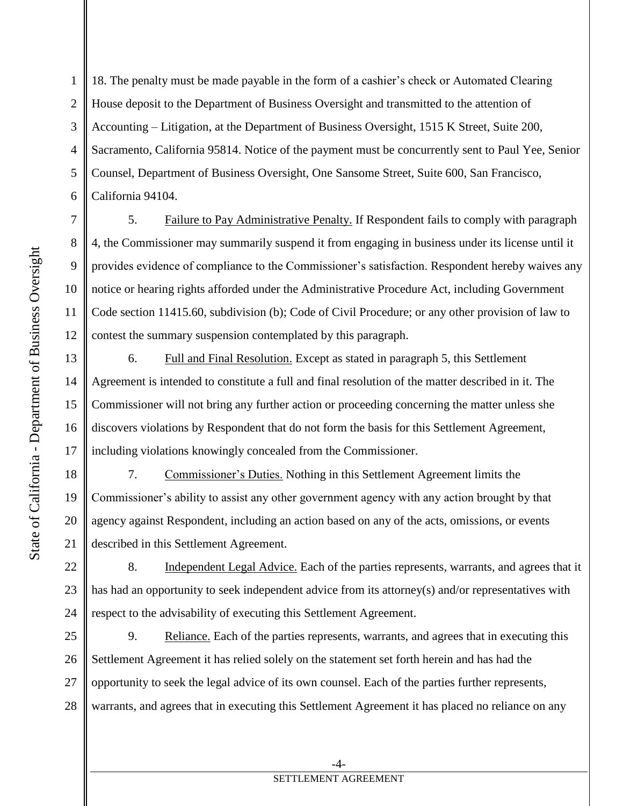18. The penalty must be made payable in the form of a cashier's check or Automated Clearing House deposit to the Department of Business Oversight and transmitted to the attention of Accounting – Litigation, at the Department of Business Oversight, 1515 K Street, Suite 200, Sacramento, California 95814. Notice of the payment must be concurrently sent to Paul Yee, Senior Counsel, Department of Business Oversight, One Sansome Street, Suite 600, San Francisco, California 94104. 1 2 3 4 5 6

13

14

15

16

17

19

21

 5. Failure to Pay Administrative Penalty. If Respondent fails to comply with paragraph 4, the Commissioner may summarily suspend it from engaging in business under its license until it provides evidence of compliance to the Commissioner's satisfaction. Respondent hereby waives any notice or hearing rights afforded under the Administrative Procedure Act, including Government Code section 11415.60, subdivision (b); Code of Civil Procedure; or any other provision of law to contest the summary suspension contemplated by this paragraph.

 6. Full and Final Resolution. Except as stated in paragraph 5, this Settlement Agreement is intended to constitute a full and final resolution of the matter described in it. The Commissioner will not bring any further action or proceeding concerning the matter unless she discovers violations by Respondent that do not form the basis for this Settlement Agreement, including violations knowingly concealed from the Commissioner.

18 20 7. Commissioner's Duties. Nothing in this Settlement Agreement limits the Commissioner's ability to assist any other government agency with any action brought by that agency against Respondent, including an action based on any of the acts, omissions, or events described in this Settlement Agreement.

22 23 24 8. Independent Legal Advice. Each of the parties represents, warrants, and agrees that it has had an opportunity to seek independent advice from its attorney(s) and/or representatives with respect to the advisability of executing this Settlement Agreement.

25 26 27 28 9. Reliance. Each of the parties represents, warrants, and agrees that in executing this Settlement Agreement it has relied solely on the statement set forth herein and has had the opportunity to seek the legal advice of its own counsel. Each of the parties further represents, warrants, and agrees that in executing this Settlement Agreement it has placed no reliance on any

## SETTLEMENT AGREEMENT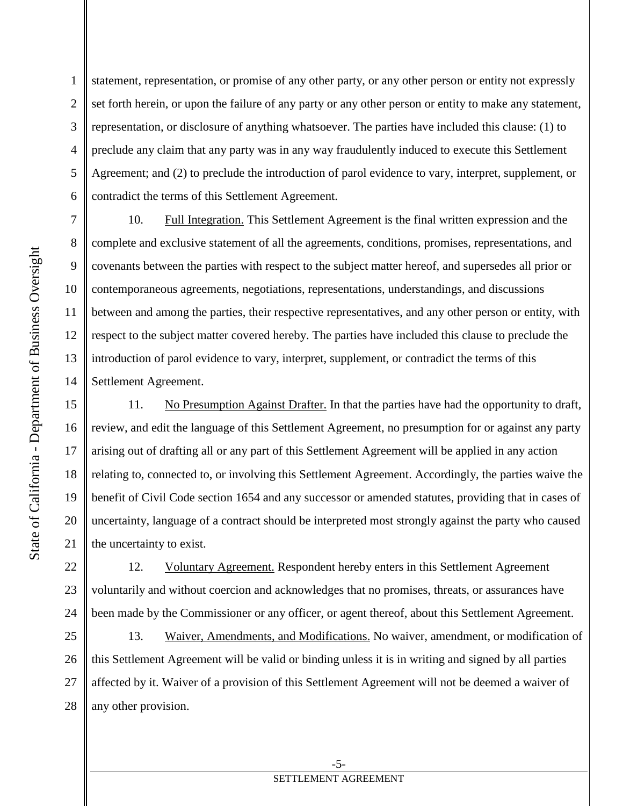statement, representation, or promise of any other party, or any other person or entity not expressly set forth herein, or upon the failure of any party or any other person or entity to make any statement, representation, or disclosure of anything whatsoever. The parties have included this clause: (1) to preclude any claim that any party was in any way fraudulently induced to execute this Settlement Agreement; and (2) to preclude the introduction of parol evidence to vary, interpret, supplement, or contradict the terms of this Settlement Agreement.

7 8 9 10 11 12 13 14 10. Full Integration. This Settlement Agreement is the final written expression and the complete and exclusive statement of all the agreements, conditions, promises, representations, and covenants between the parties with respect to the subject matter hereof, and supersedes all prior or contemporaneous agreements, negotiations, representations, understandings, and discussions between and among the parties, their respective representatives, and any other person or entity, with respect to the subject matter covered hereby. The parties have included this clause to preclude the introduction of parol evidence to vary, interpret, supplement, or contradict the terms of this Settlement Agreement.

15 16 17 18 19 20 21 11. No Presumption Against Drafter. In that the parties have had the opportunity to draft, review, and edit the language of this Settlement Agreement, no presumption for or against any party arising out of drafting all or any part of this Settlement Agreement will be applied in any action relating to, connected to, or involving this Settlement Agreement. Accordingly, the parties waive the benefit of Civil Code section 1654 and any successor or amended statutes, providing that in cases of uncertainty, language of a contract should be interpreted most strongly against the party who caused the uncertainty to exist.

22 23 24 12. Voluntary Agreement. Respondent hereby enters in this Settlement Agreement voluntarily and without coercion and acknowledges that no promises, threats, or assurances have been made by the Commissioner or any officer, or agent thereof, about this Settlement Agreement.

25 26 27 28 13. Waiver, Amendments, and Modifications. No waiver, amendment, or modification of this Settlement Agreement will be valid or binding unless it is in writing and signed by all parties affected by it. Waiver of a provision of this Settlement Agreement will not be deemed a waiver of any other provision.

1

2

3

4

5

6